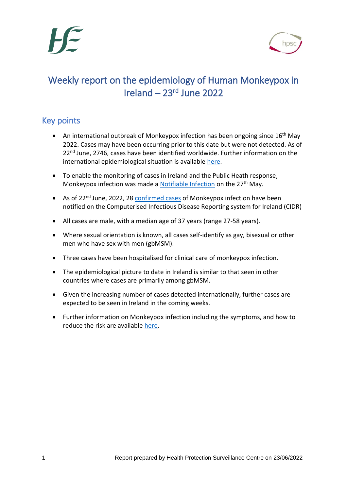

## Weekly report on the epidemiology of Human Monkeypox in Ireland – 23rd June 2022

## Key points

- An international outbreak of Monkeypox infection has been ongoing since  $16<sup>th</sup>$  May 2022. Cases may have been occurring prior to this date but were not detected. As of 22<sup>nd</sup> June, 2746, cases have been identified worldwide. Further information on the international epidemiological situation is available [here.](https://www.ecdc.europa.eu/en/monkeypox-outbreak)
- To enable the monitoring of cases in Ireland and the Public Heath response, Monkeypox infection was made a **Notifiable Infection** on the 27<sup>th</sup> May.
- As of 22<sup>nd</sup> June, 2022, 28 [confirmed cases](https://www.hpsc.ie/a-z/zoonotic/monkeypox/casedefinition/) of Monkeypox infection have been notified on the Computerised Infectious Disease Reporting system for Ireland (CIDR)
- All cases are male, with a median age of 37 years (range 27-58 years).
- Where sexual orientation is known, all cases self-identify as gay, bisexual or other men who have sex with men (gbMSM).
- Three cases have been hospitalised for clinical care of monkeypox infection.
- The epidemiological picture to date in Ireland is similar to that seen in other countries where cases are primarily among gbMSM.
- Given the increasing number of cases detected internationally, further cases are expected to be seen in Ireland in the coming weeks.
- Further information on Monkeypox infection including the symptoms, and how to reduce the risk are available [here.](https://www.hpsc.ie/a-z/zoonotic/monkeypox/factsheets/)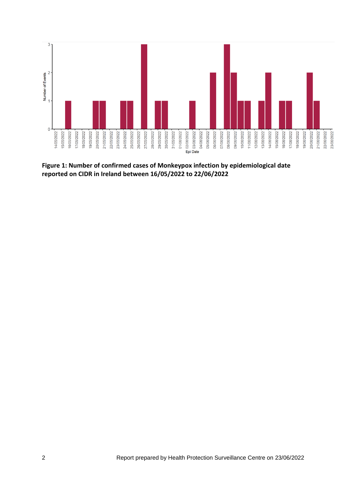

**Figure 1: Number of confirmed cases of Monkeypox infection by epidemiological date reported on CIDR in Ireland between 16/05/2022 to 22/06/2022**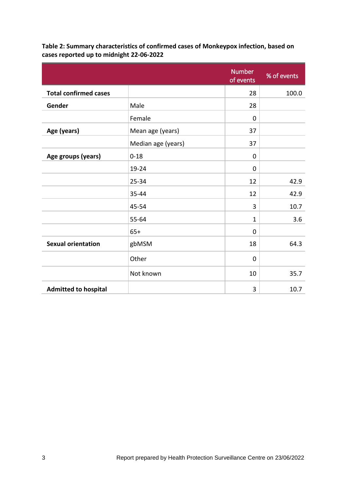|                              |                    | <b>Number</b><br>of events | % of events |
|------------------------------|--------------------|----------------------------|-------------|
| <b>Total confirmed cases</b> |                    | 28                         | 100.0       |
| Gender                       | Male               | 28                         |             |
|                              | Female             | $\mathbf 0$                |             |
| Age (years)                  | Mean age (years)   | 37                         |             |
|                              | Median age (years) | 37                         |             |
| Age groups (years)           | $0 - 18$           | $\mathbf 0$                |             |
|                              | 19-24              | $\mathbf 0$                |             |
|                              | 25-34              | 12                         | 42.9        |
|                              | 35-44              | 12                         | 42.9        |
|                              | 45-54              | 3                          | 10.7        |
|                              | 55-64              | $\mathbf 1$                | 3.6         |
|                              | $65+$              | $\mathbf 0$                |             |
| <b>Sexual orientation</b>    | gbMSM              | 18                         | 64.3        |
|                              | Other              | $\mathbf 0$                |             |
|                              | Not known          | 10                         | 35.7        |
| <b>Admitted to hospital</b>  |                    | 3                          | 10.7        |

**Table 2: Summary characteristics of confirmed cases of Monkeypox infection, based on cases reported up to midnight 22-06-2022**